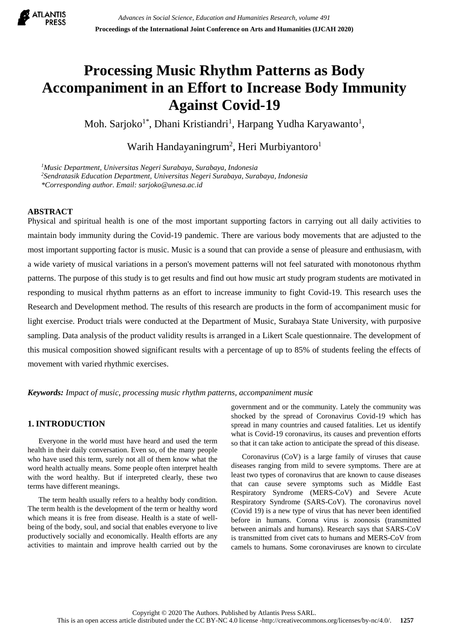

# **Processing Music Rhythm Patterns as Body Accompaniment in an Effort to Increase Body Immunity Against Covid-19**

Moh. Sarjoko<sup>1\*</sup>, Dhani Kristiandri<sup>1</sup>, Harpang Yudha Karyawanto<sup>1</sup>,

Warih Handayaningrum<sup>2</sup>, Heri Murbiyantoro<sup>1</sup>

*<sup>1</sup>Music Department, Universitas Negeri Surabaya, Surabaya, Indonesia <sup>2</sup>Sendratasik Education Department, Universitas Negeri Surabaya, Surabaya, Indonesia \*Corresponding author. Email: sarjoko@unesa.ac.id*

## **ABSTRACT**

Physical and spiritual health is one of the most important supporting factors in carrying out all daily activities to maintain body immunity during the Covid-19 pandemic. There are various body movements that are adjusted to the most important supporting factor is music. Music is a sound that can provide a sense of pleasure and enthusiasm, with a wide variety of musical variations in a person's movement patterns will not feel saturated with monotonous rhythm patterns. The purpose of this study is to get results and find out how music art study program students are motivated in responding to musical rhythm patterns as an effort to increase immunity to fight Covid-19. This research uses the Research and Development method. The results of this research are products in the form of accompaniment music for light exercise. Product trials were conducted at the Department of Music, Surabaya State University, with purposive sampling. Data analysis of the product validity results is arranged in a Likert Scale questionnaire. The development of this musical composition showed significant results with a percentage of up to 85% of students feeling the effects of movement with varied rhythmic exercises.

*Keywords: Impact of music, processing music rhythm patterns, accompaniment music*

# **1. INTRODUCTION**

Everyone in the world must have heard and used the term health in their daily conversation. Even so, of the many people who have used this term, surely not all of them know what the word health actually means. Some people often interpret health with the word healthy. But if interpreted clearly, these two terms have different meanings.

The term health usually refers to a healthy body condition. The term health is the development of the term or healthy word which means it is free from disease. Health is a state of wellbeing of the body, soul, and social that enables everyone to live productively socially and economically. Health efforts are any activities to maintain and improve health carried out by the

government and or the community. Lately the community was shocked by the spread of Coronavirus Covid-19 which has spread in many countries and caused fatalities. Let us identify what is Covid-19 coronavirus, its causes and prevention efforts so that it can take action to anticipate the spread of this disease.

Coronavirus (CoV) is a large family of viruses that cause diseases ranging from mild to severe symptoms. There are at least two types of coronavirus that are known to cause diseases that can cause severe symptoms such as Middle East Respiratory Syndrome (MERS-CoV) and Severe Acute Respiratory Syndrome (SARS-CoV). The coronavirus novel (Covid 19) is a new type of virus that has never been identified before in humans. Corona virus is zoonosis (transmitted between animals and humans). Research says that SARS-CoV is transmitted from civet cats to humans and MERS-CoV from camels to humans. Some coronaviruses are known to circulate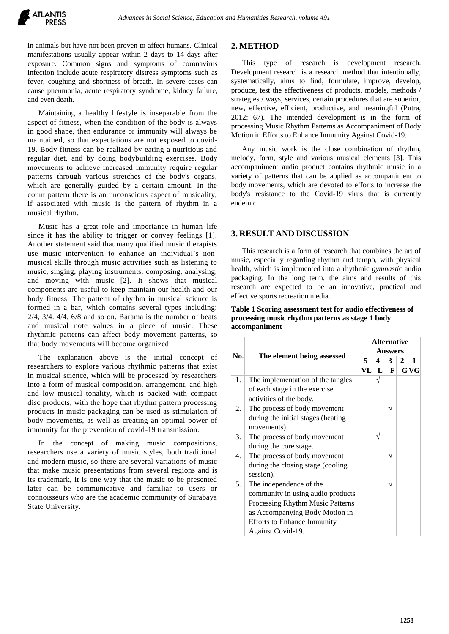in animals but have not been proven to affect humans. Clinical manifestations usually appear within 2 days to 14 days after exposure. Common signs and symptoms of coronavirus infection include acute respiratory distress symptoms such as fever, coughing and shortness of breath. In severe cases can cause pneumonia, acute respiratory syndrome, kidney failure, and even death.

Maintaining a healthy lifestyle is inseparable from the aspect of fitness, when the condition of the body is always in good shape, then endurance or immunity will always be maintained, so that expectations are not exposed to covid-19. Body fitness can be realized by eating a nutritious and regular diet, and by doing bodybuilding exercises. Body movements to achieve increased immunity require regular patterns through various stretches of the body's organs, which are generally guided by a certain amount. In the count pattern there is an unconscious aspect of musicality, if associated with music is the pattern of rhythm in a musical rhythm.

Music has a great role and importance in human life since it has the ability to trigger or convey feelings [1]. Another statement said that many qualified music therapists use music intervention to enhance an individual's nonmusical skills through music activities such as listening to music, singing, playing instruments, composing, analysing, and moving with music [2]. It shows that musical components are useful to keep maintain our health and our body fitness. The pattern of rhythm in musical science is formed in a bar, which contains several types including: 2/4, 3/4. 4/4, 6/8 and so on. Barama is the number of beats and musical note values in a piece of music. These rhythmic patterns can affect body movement patterns, so that body movements will become organized.

The explanation above is the initial concept of researchers to explore various rhythmic patterns that exist in musical science, which will be processed by researchers into a form of musical composition, arrangement, and high and low musical tonality, which is packed with compact disc products, with the hope that rhythm pattern processing products in music packaging can be used as stimulation of body movements, as well as creating an optimal power of immunity for the prevention of covid-19 transmission.

In the concept of making music compositions, researchers use a variety of music styles, both traditional and modern music, so there are several variations of music that make music presentations from several regions and is its trademark, it is one way that the music to be presented later can be communicative and familiar to users or connoisseurs who are the academic community of Surabaya State University.

# **2. METHOD**

This type of research is development research. Development research is a research method that intentionally, systematically, aims to find, formulate, improve, develop, produce, test the effectiveness of products, models, methods / strategies / ways, services, certain procedures that are superior, new, effective, efficient, productive, and meaningful (Putra, 2012: 67). The intended development is in the form of processing Music Rhythm Patterns as Accompaniment of Body Motion in Efforts to Enhance Immunity Against Covid-19.

Any music work is the close combination of rhythm, melody, form, style and various musical elements [3]. This accompaniment audio product contains rhythmic music in a variety of patterns that can be applied as accompaniment to body movements, which are devoted to efforts to increase the body's resistance to the Covid-19 virus that is currently endemic.

### **3. RESULT AND DISCUSSION**

This research is a form of research that combines the art of music, especially regarding rhythm and tempo, with physical health, which is implemented into a rhythmic *gymnasti*c audio packaging. In the long term, the aims and results of this research are expected to be an innovative, practical and effective sports recreation media.

**Table 1 Scoring assessment test for audio effectiveness of processing music rhythm patterns as stage 1 body accompaniment**

|     | The element being assessed         | <b>Alternative</b><br><b>Answers</b> |                    |            |   |     |  |
|-----|------------------------------------|--------------------------------------|--------------------|------------|---|-----|--|
| No. |                                    |                                      |                    |            |   |     |  |
|     |                                    | 5                                    | 4                  | 3          | 2 | 1   |  |
|     |                                    |                                      | VL<br>$\mathbf{L}$ | F          |   | GVG |  |
| 1.  | The implementation of the tangles  |                                      | $\sqrt{}$          |            |   |     |  |
|     | of each stage in the exercise      |                                      |                    |            |   |     |  |
|     | activities of the body.            |                                      |                    |            |   |     |  |
| 2.  | The process of body movement       |                                      |                    | V          |   |     |  |
|     | during the initial stages (heating |                                      |                    |            |   |     |  |
|     | movements).                        |                                      |                    |            |   |     |  |
| 3.  | The process of body movement       |                                      |                    |            |   |     |  |
|     | during the core stage.             |                                      |                    |            |   |     |  |
| 4.  | The process of body movement       |                                      |                    | $\sqrt{ }$ |   |     |  |
|     | during the closing stage (cooling  |                                      |                    |            |   |     |  |
|     | session).                          |                                      |                    |            |   |     |  |
| 5.  | The independence of the            |                                      |                    | V          |   |     |  |
|     | community in using audio products  |                                      |                    |            |   |     |  |
|     | Processing Rhythm Music Patterns   |                                      |                    |            |   |     |  |
|     | as Accompanying Body Motion in     |                                      |                    |            |   |     |  |
|     | <b>Efforts to Enhance Immunity</b> |                                      |                    |            |   |     |  |
|     | Against Covid-19.                  |                                      |                    |            |   |     |  |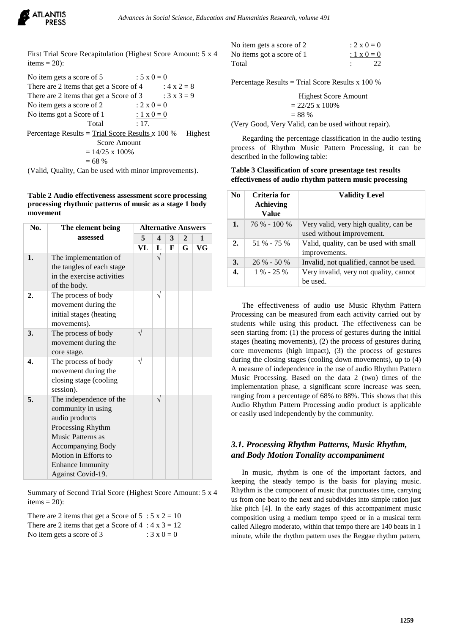

First Trial Score Recapitulation (Highest Score Amount: 5 x 4 items  $= 20$ :

No item gets a score of 5 :  $5 \times 0 = 0$ There are 2 items that get a Score of 4 :  $4 \times 2 = 8$ There are 2 items that get a Score of 3 :  $3 \times 3 = 9$ No item gets a score of 2 :  $2 \times 0 = 0$ No items got a Score of 1 :  $1 \times 0 = 0$ Total : 17. Percentage Results = Trial Score Results x  $100\%$  Highest Score Amount  $= 14/25 \times 100\%$  $= 68 %$ 

(Valid, Quality, Can be used with minor improvements).

#### **Table 2 Audio effectiveness assessment score processing processing rhythmic patterns of music as a stage 1 body movement**

| No. | The element being          | <b>Alternative Answers</b> |                         |   |              |              |
|-----|----------------------------|----------------------------|-------------------------|---|--------------|--------------|
|     | assessed                   |                            | $\overline{\mathbf{4}}$ | 3 | $\mathbf{2}$ | $\mathbf{1}$ |
|     |                            | VL                         | L                       | F | G            | VG           |
| 1.  | The implementation of      |                            | $\sqrt{}$               |   |              |              |
|     | the tangles of each stage  |                            |                         |   |              |              |
|     | in the exercise activities |                            |                         |   |              |              |
|     | of the body.               |                            |                         |   |              |              |
| 2.  | The process of body        |                            | V                       |   |              |              |
|     | movement during the        |                            |                         |   |              |              |
|     | initial stages (heating    |                            |                         |   |              |              |
|     | movements).                |                            |                         |   |              |              |
| 3.  | The process of body        |                            |                         |   |              |              |
|     | movement during the        |                            |                         |   |              |              |
|     | core stage.                |                            |                         |   |              |              |
| 4.  | The process of body        | N                          |                         |   |              |              |
|     | movement during the        |                            |                         |   |              |              |
|     | closing stage (cooling     |                            |                         |   |              |              |
|     | session).                  |                            |                         |   |              |              |
| 5.  | The independence of the    |                            |                         |   |              |              |
|     | community in using         |                            |                         |   |              |              |
|     | audio products             |                            |                         |   |              |              |
|     | Processing Rhythm          |                            |                         |   |              |              |
|     | <b>Music Patterns as</b>   |                            |                         |   |              |              |
|     | Accompanying Body          |                            |                         |   |              |              |
|     | Motion in Efforts to       |                            |                         |   |              |              |
|     | <b>Enhance Immunity</b>    |                            |                         |   |              |              |
|     | Against Covid-19.          |                            |                         |   |              |              |

Summary of Second Trial Score (Highest Score Amount: 5 x 4 items  $= 20$ :

There are 2 items that get a Score of  $5 : 5 \times 2 = 10$ There are 2 items that get a Score of  $4 : 4 \times 3 = 12$ No item gets a score of 3 :  $3 \times 0 = 0$ 

| No item gets a score of 2 | $: 2 \times 0 = 0$ |
|---------------------------|--------------------|
| No items got a score of 1 | $: 1 \times 0 = 0$ |
| Total                     | 22                 |

Percentage Results = Trial Score Results x 100 %

Higher Score Amount  
= 
$$
22/25 \times 100\%
$$
  
= 88 %

(Very Good, Very Valid, can be used without repair).

Regarding the percentage classification in the audio testing process of Rhythm Music Pattern Processing, it can be described in the following table:

**Table 3 Classification of score presentage test results effectiveness of audio rhythm pattern music processing**

| N <sub>0</sub> | Criteria for<br>Achieving<br><b>Value</b> | <b>Validity Level</b>                                              |
|----------------|-------------------------------------------|--------------------------------------------------------------------|
| 1.             | 76 % - 100 %                              | Very valid, very high quality, can be<br>used without improvement. |
| 2.             | 51 % - 75 %                               | Valid, quality, can be used with small<br>improvements.            |
| 3.             | $26\% - 50\%$                             | Invalid, not qualified, cannot be used.                            |
| 4.             | $1\% - 25\%$                              | Very invalid, very not quality, cannot<br>be used.                 |

The effectiveness of audio use Music Rhythm Pattern Processing can be measured from each activity carried out by students while using this product. The effectiveness can be seen starting from: (1) the process of gestures during the initial stages (heating movements), (2) the process of gestures during core movements (high impact), (3) the process of gestures during the closing stages (cooling down movements), up to (4) A measure of independence in the use of audio Rhythm Pattern Music Processing. Based on the data 2 (two) times of the implementation phase, a significant score increase was seen, ranging from a percentage of 68% to 88%. This shows that this Audio Rhythm Pattern Processing audio product is applicable or easily used independently by the community.

## *3.1. Processing Rhythm Patterns, Music Rhythm, and Body Motion Tonality accompaniment*

In music, rhythm is one of the important factors, and keeping the steady tempo is the basis for playing music. Rhythm is the component of music that punctuates time, carrying us from one beat to the next and subdivides into simple ration just like pitch [4]. In the early stages of this accompaniment music composition using a medium tempo speed or in a musical term called Allegro moderato, within that tempo there are 140 beats in 1 minute, while the rhythm pattern uses the Reggae rhythm pattern,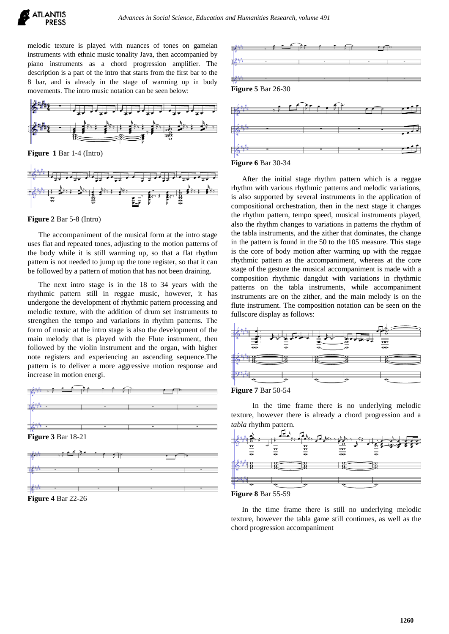

melodic texture is played with nuances of tones on gamelan instruments with ethnic music tonality Java, then accompanied by piano instruments as a chord progression amplifier. The description is a part of the intro that starts from the first bar to the 8 bar, and is already in the stage of warming up in body movements. The intro music notation can be seen below:



**Figure 1** Bar 1-4 (Intro)



#### **Figure 2** Bar 5-8 (Intro)

The accompaniment of the musical form at the intro stage uses flat and repeated tones, adjusting to the motion patterns of the body while it is still warming up, so that a flat rhythm pattern is not needed to jump up the tone register, so that it can be followed by a pattern of motion that has not been draining.

The next intro stage is in the 18 to 34 years with the rhythmic pattern still in reggae music, however, it has undergone the development of rhythmic pattern processing and melodic texture, with the addition of drum set instruments to strengthen the tempo and variations in rhythm patterns. The form of music at the intro stage is also the development of the main melody that is played with the Flute instrument, then followed by the violin instrument and the organ, with higher note registers and experiencing an ascending sequence.The pattern is to deliver a more aggressive motion response and increase in motion energi.



**Figure 4** Bar 22-26





After the initial stage rhythm pattern which is a reggae rhythm with various rhythmic patterns and melodic variations, is also supported by several instruments in the application of compositional orchestration, then in the next stage it changes the rhythm pattern, tempo speed, musical instruments played, also the rhythm changes to variations in patterns the rhythm of the tabla instruments, and the zither that dominates, the change in the pattern is found in the 50 to the 105 measure. This stage is the core of body motion after warming up with the reggae rhythmic pattern as the accompaniment, whereas at the core stage of the gesture the musical accompaniment is made with a composition rhythmic dangdut with variations in rhythmic patterns on the tabla instruments, while accompaniment instruments are on the zither, and the main melody is on the flute instrument. The composition notation can be seen on the fullscore display as follows:





In the time frame there is no underlying melodic texture, however there is already a chord progression and a *tabla* rhythm pattern.



**Figure 8** Bar 55-59

In the time frame there is still no underlying melodic texture, however the tabla game still continues, as well as the chord progression accompaniment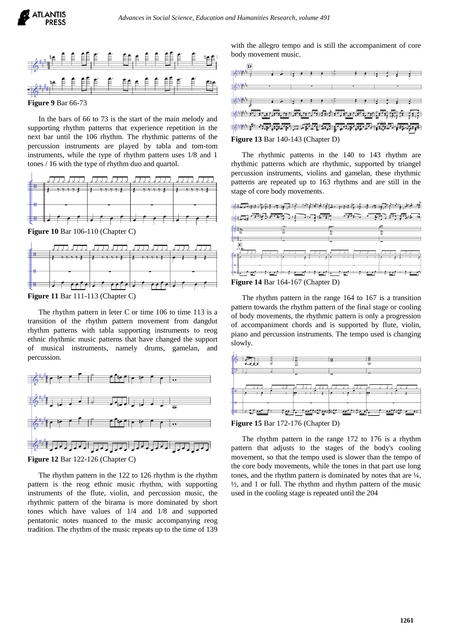

**Figure 9** Bar 66-73

In the bars of 66 to 73 is the start of the main melody and supporting rhythm patterns that experience repetition in the next bar until the 106 rhythm. The rhythmic patterns of the percussion instruments are played by tabla and tom-tom instruments, while the type of rhythm pattern uses 1/8 and 1 tones / 16 with the type of rhythm duo and quartol.



**Figure 10** Bar 106-110 (Chapter C)

|  |                                   | <u>YAY AYY AYY AYY AYY AYY AYY AYY</u> |
|--|-----------------------------------|----------------------------------------|
|  |                                   |                                        |
|  |                                   |                                        |
|  |                                   |                                        |
|  | la fine fela fine fe fe fela fine |                                        |

**Figure 11** Bar 111-113 (Chapter C)

The rhythm pattern in leter C or time 106 to time 113 is a transition of the rhythm pattern movement from dangdut rhythm patterns with tabla supporting instruments to reog ethnic rhythmic music patterns that have changed the support of musical instruments, namely drums, gamelan, and percussion.



**Figure 12** Bar 122-126 (Chapter C)

The rhythm pattern in the 122 to 126 rhythm is the rhythm pattern is the reog ethnic music rhythm, with supporting instruments of the flute, violin, and percussion music, the rhythmic pattern of the birama is more dominated by short tones which have values of 1/4 and 1/8 and supported pentatonic notes nuanced to the music accompanying reog tradition. The rhythm of the music repeats up to the time of 139

with the allegro tempo and is still the accompaniment of core body movement music.



The rhythmic patterns in the 140 to 143 rhythm are rhythmic patterns which are rhythmic, supported by triangel percussion instruments, violins and gamelan, these rhythmic patterns are repeated up to 163 rhythms and are still in the stage of core body movements.



The rhythm pattern in the range 164 to 167 is a transition pattern towards the rhythm pattern of the final stage or cooling of body movements, the rhythmic pattern is only a progression of accompaniment chords and is supported by flute, violin, piano and percussion instruments. The tempo used is changing slowly.



**Figure 15** Bar 172-176 (Chapter D)

The rhythm pattern in the range 172 to 176 is a rhythm pattern that adjusts to the stages of the body's cooling movement, so that the tempo used is slower than the tempo of the core body movements, while the tones in that part use long tones, and the rhythm pattern is dominated by notes that are ¼,  $\frac{1}{2}$ , and 1 or full. The rhythm and rhythm pattern of the music used in the cooling stage is repeated until the 204